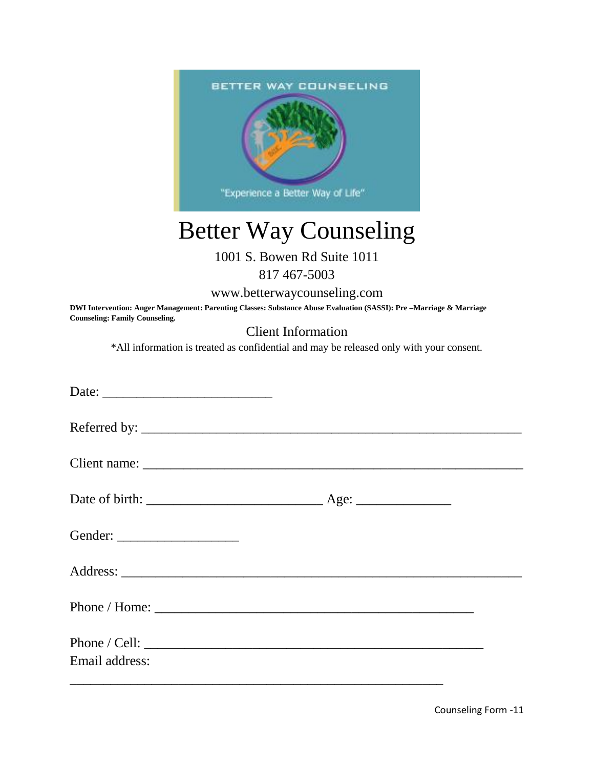

## Better Way Counseling

## 1001 S. Bowen Rd Suite 1011 817 467-5003

www.betterwaycounseling.com

**DWI Intervention: Anger Management: Parenting Classes: Substance Abuse Evaluation (SASSI): Pre –Marriage & Marriage Counseling: Family Counseling.** 

Client Information

\*All information is treated as confidential and may be released only with your consent.

| Phone / Cell: $\sqrt{\frac{2\pi}{1-\frac{1}{2}}$ |  |
|--------------------------------------------------|--|
| Email address:                                   |  |

Counseling Form -11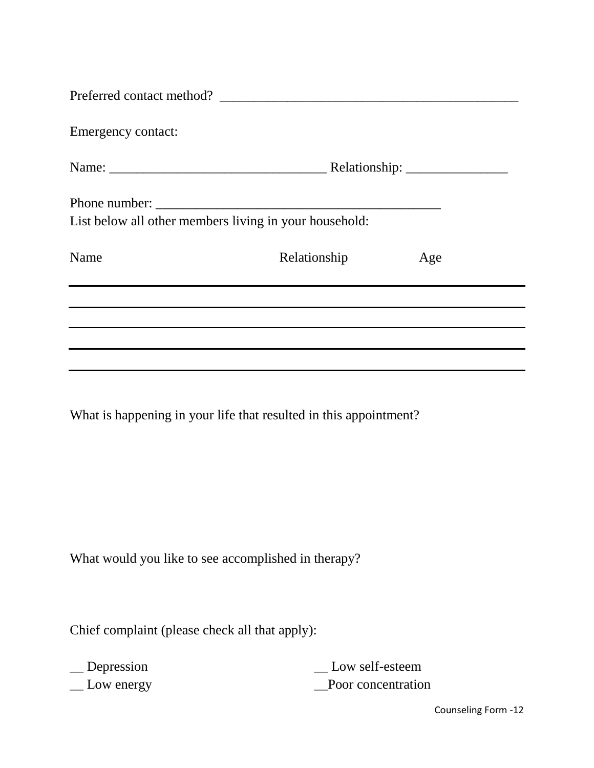| Emergency contact: |                                                        |     |
|--------------------|--------------------------------------------------------|-----|
|                    |                                                        |     |
|                    |                                                        |     |
|                    | List below all other members living in your household: |     |
| Name               | Relationship                                           | Age |
|                    |                                                        |     |
|                    |                                                        |     |
|                    |                                                        |     |
|                    |                                                        |     |

What is happening in your life that resulted in this appointment?

What would you like to see accomplished in therapy?

Chief complaint (please check all that apply):

\_\_ Depression

\_\_ Low energy

\_\_ Low self-esteem \_\_Poor concentration

Counseling Form -12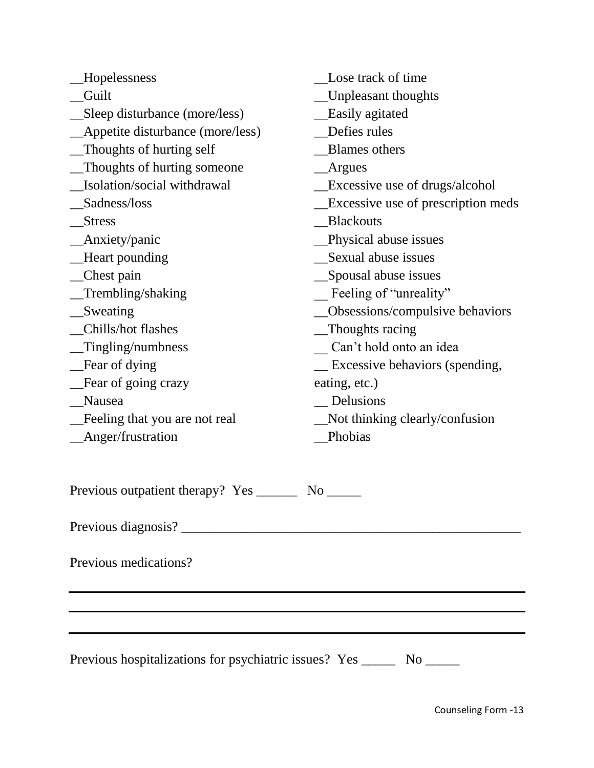| Hopelessness                                                              | Lose track of time                 |  |  |
|---------------------------------------------------------------------------|------------------------------------|--|--|
| Guilt                                                                     | Unpleasant thoughts                |  |  |
| Sleep disturbance (more/less)                                             | <b>Easily agitated</b>             |  |  |
| Appetite disturbance (more/less)                                          | Defies rules                       |  |  |
| Thoughts of hurting self                                                  | <b>Blames</b> others               |  |  |
| Thoughts of hurting someone                                               | Argues                             |  |  |
| Isolation/social withdrawal                                               | Excessive use of drugs/alcohol     |  |  |
| Sadness/loss                                                              | Excessive use of prescription meds |  |  |
| <b>Stress</b>                                                             | <b>Blackouts</b>                   |  |  |
| Anxiety/panic                                                             | Physical abuse issues              |  |  |
| Heart pounding                                                            | Sexual abuse issues                |  |  |
| _Chest pain                                                               | Spousal abuse issues               |  |  |
| Trembling/shaking                                                         | Feeling of "unreality"             |  |  |
| Sweating                                                                  | Obsessions/compulsive behaviors    |  |  |
| Chills/hot flashes                                                        | _Thoughts racing                   |  |  |
| Tingling/numbness                                                         | Can't hold onto an idea            |  |  |
| Fear of dying                                                             | Excessive behaviors (spending,     |  |  |
| Fear of going crazy                                                       | eating, etc.)                      |  |  |
| Nausea                                                                    | Delusions                          |  |  |
| Feeling that you are not real                                             | Not thinking clearly/confusion     |  |  |
| Anger/frustration                                                         | Phobias                            |  |  |
| Previous outpatient therapy? Yes _______                                  | No results.                        |  |  |
|                                                                           |                                    |  |  |
| Previous medications?                                                     |                                    |  |  |
|                                                                           |                                    |  |  |
|                                                                           |                                    |  |  |
| Previous hospitalizations for psychiatric issues? Yes ________ No _______ |                                    |  |  |